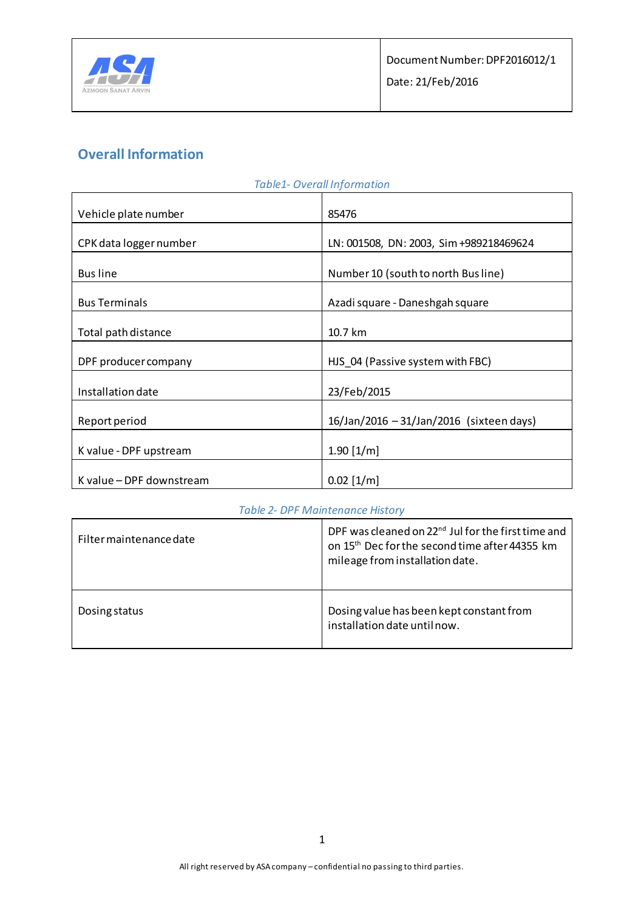

# **Overall Information**

| <b>Table1- Overall Information</b> |                                          |  |
|------------------------------------|------------------------------------------|--|
| Vehicle plate number               | 85476                                    |  |
| CPK data logger number             | LN: 001508, DN: 2003, Sim +989218469624  |  |
| <b>Bus line</b>                    | Number 10 (south to north Busline)       |  |
| <b>Bus Terminals</b>               | Azadi square - Daneshgah square          |  |
| Total path distance                | 10.7 km                                  |  |
| DPF producer company               | HJS_04 (Passive system with FBC)         |  |
| Installation date                  | 23/Feb/2015                              |  |
| Report period                      | 16/Jan/2016 - 31/Jan/2016 (sixteen days) |  |
| K value - DPF upstream             | $1.90$ [1/m]                             |  |
| K value - DPF downstream           | $0.02$ [1/m]                             |  |

### *Table 2- DPF Maintenance History*

| Filter maintenance date | DPF was cleaned on 22 <sup>nd</sup> Jul for the first time and<br>on 15 <sup>th</sup> Dec for the second time after 44355 km<br>mileage from installation date. |
|-------------------------|-----------------------------------------------------------------------------------------------------------------------------------------------------------------|
| Dosing status           | Dosing value has been kept constant from<br>installation date until now.                                                                                        |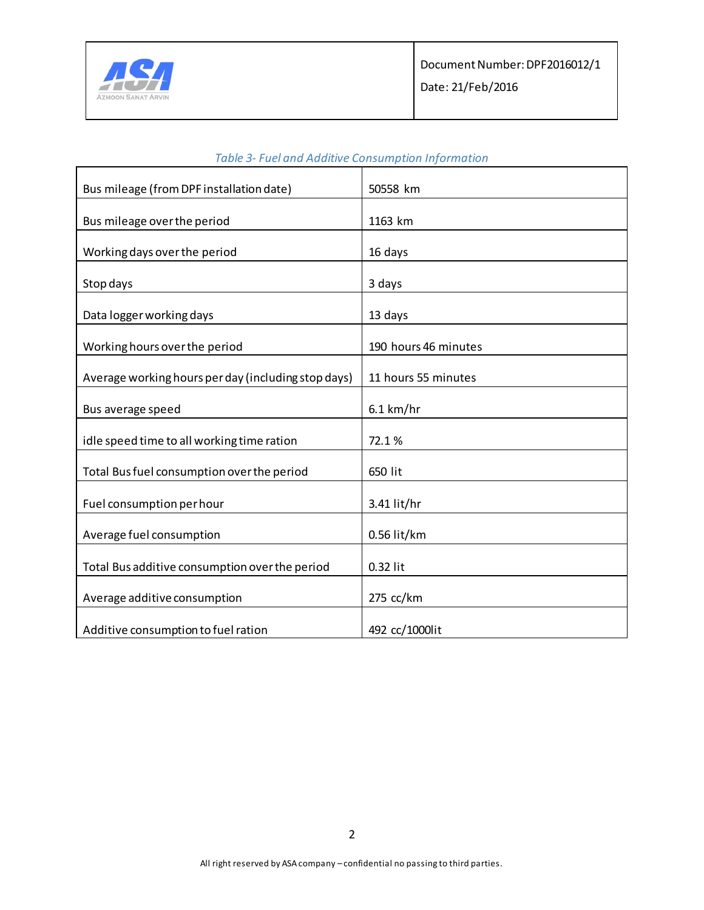

| Bus mileage (from DPF installation date)            | 50558 km             |
|-----------------------------------------------------|----------------------|
|                                                     |                      |
| Bus mileage over the period                         | 1163 km              |
|                                                     |                      |
| Working days over the period                        | 16 days              |
| Stop days                                           | 3 days               |
| Data logger working days                            | 13 days              |
|                                                     |                      |
| Working hours over the period                       | 190 hours 46 minutes |
| Average working hours per day (including stop days) | 11 hours 55 minutes  |
|                                                     |                      |
| Bus average speed                                   | $6.1$ km/hr          |
|                                                     |                      |
| idle speed time to all working time ration          | 72.1%                |
| Total Bus fuel consumption over the period          | 650 lit              |
|                                                     |                      |
| Fuel consumption per hour                           | 3.41 lit/hr          |
| Average fuel consumption                            | 0.56 lit/km          |
|                                                     |                      |
| Total Bus additive consumption over the period      | 0.32 lit             |
| Average additive consumption                        | 275 cc/km            |
|                                                     |                      |
| Additive consumption to fuel ration                 | 492 cc/1000lit       |

### *Table 3- Fuel and Additive Consumption Information*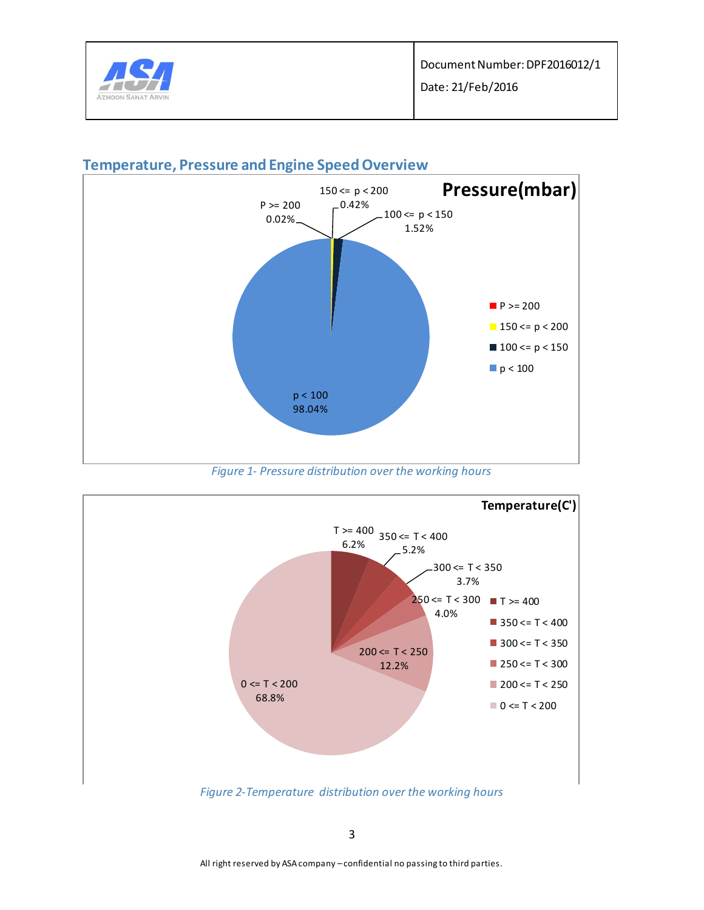



### **Temperature, Pressure and Engine Speed Overview**



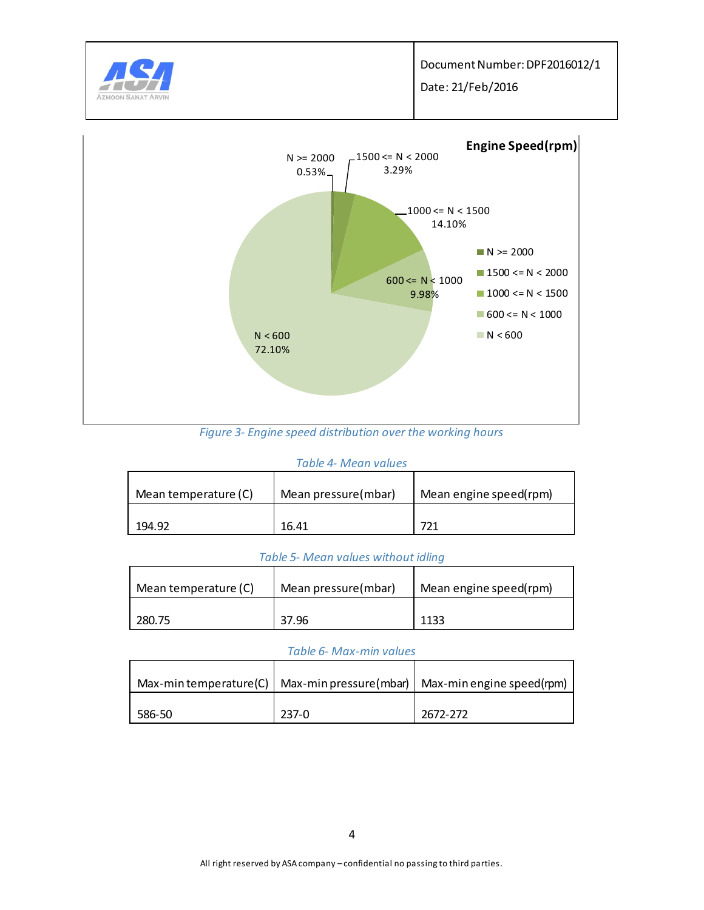

*Figure 3- Engine speed distribution over the working hours* 

#### *Table 4- Mean values*

| Mean temperature (C) | Mean pressure(mbar) | Mean engine speed(rpm) |
|----------------------|---------------------|------------------------|
| 194.92               | 16.41               | 721                    |

#### *Table 5- Mean values without idling*

| Mean temperature (C) | Mean pressure(mbar) | Mean engine speed(rpm) |  |
|----------------------|---------------------|------------------------|--|
| 280.75               | 37.96               | 1133                   |  |

#### *Table 6- Max-min values*

|        |         | Max-min temperature(C)   Max-min pressure(mbar)   Max-min engine speed(rpm) |
|--------|---------|-----------------------------------------------------------------------------|
| 586-50 | $237-0$ | 2672-272                                                                    |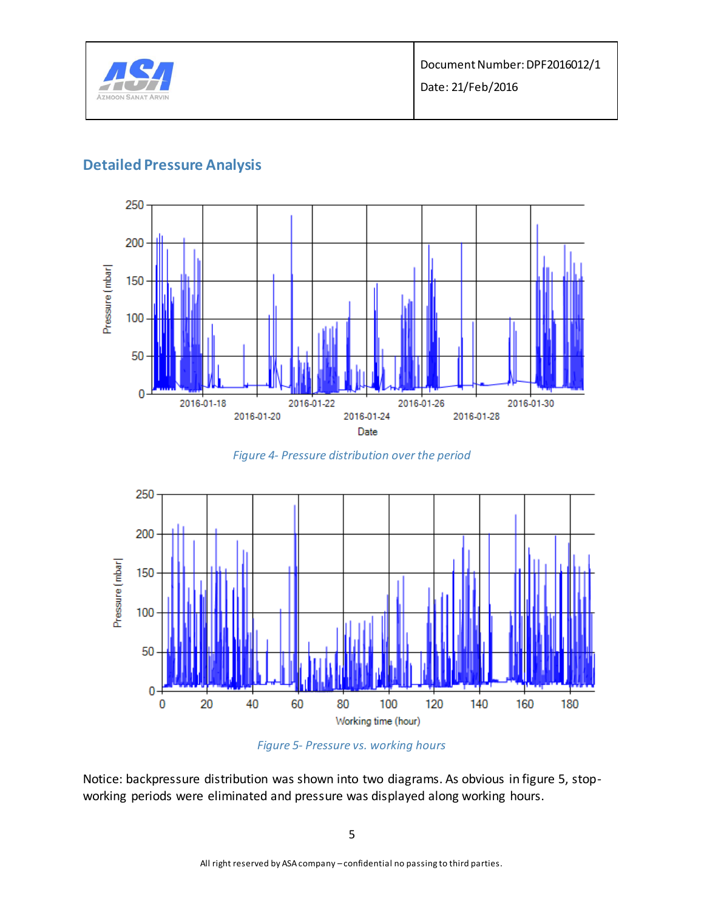

### **Detailed Pressure Analysis**



*Figure 4- Pressure distribution over the period*





Notice: backpressure distribution was shown into two diagrams. As obvious in figure 5, stopworking periods were eliminated and pressure was displayed along working hours.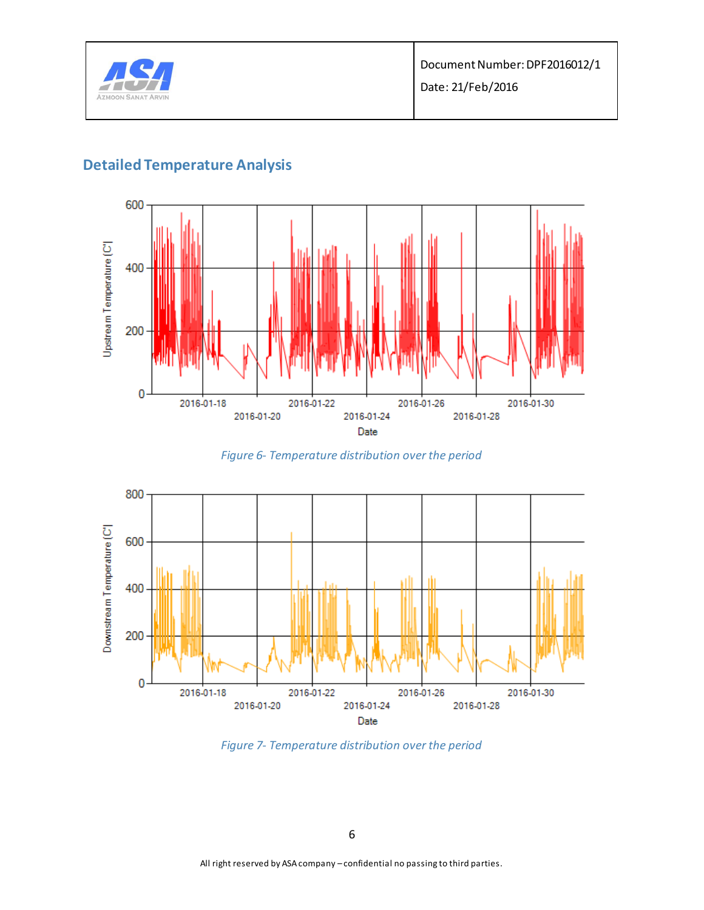

# **Detailed Temperature Analysis**



*Figure 6- Temperature distribution over the period*



*Figure 7- Temperature distribution over the period*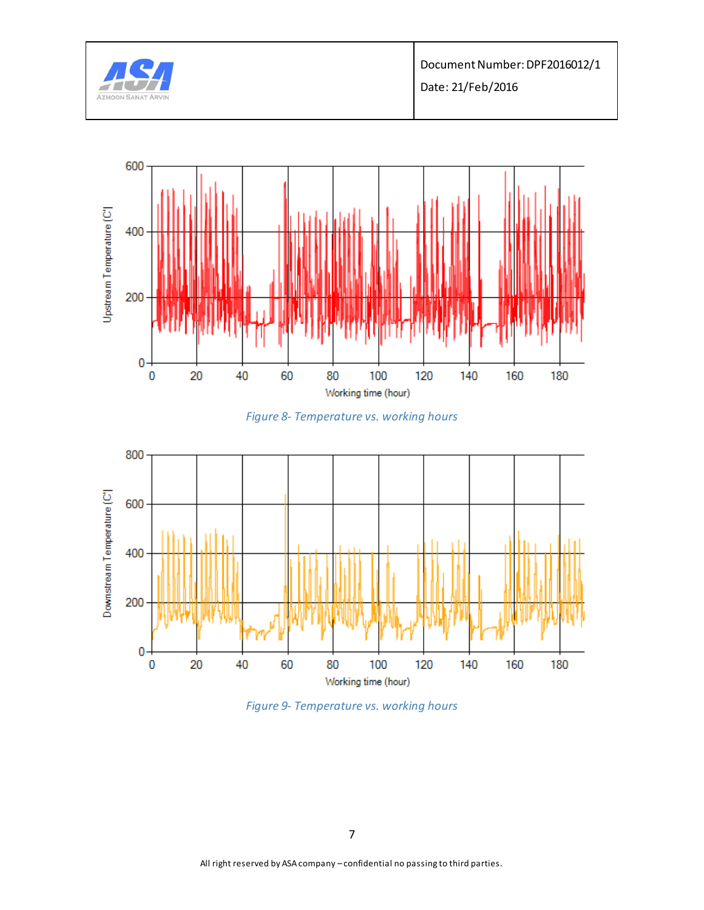







*Figure 9- Temperature vs. working hours*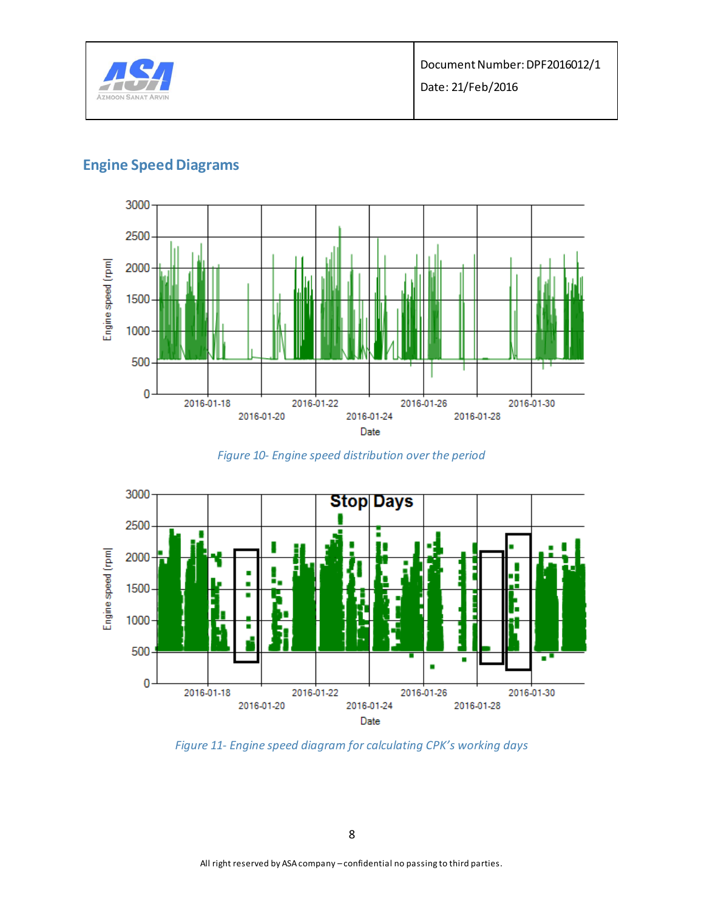

## **Engine Speed Diagrams**



*Figure 10- Engine speed distribution over the period* 



*Figure 11- Engine speed diagram for calculating CPK's working days*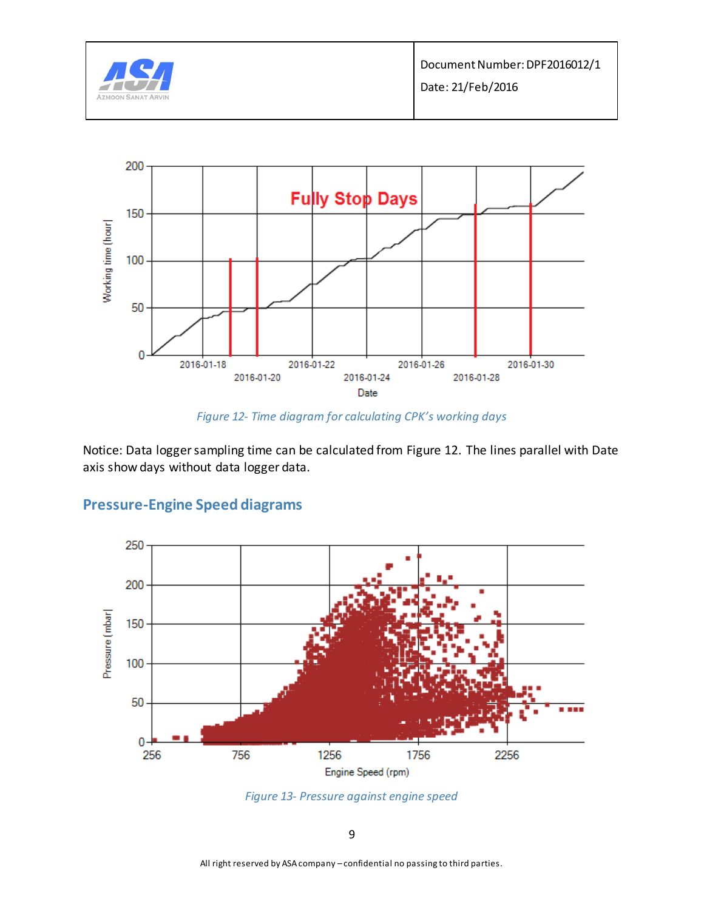



*Figure 12- Time diagram for calculating CPK's working days*

Notice: Data logger sampling time can be calculated from Figure 12. The lines parallel with Date axis show days without data logger data.





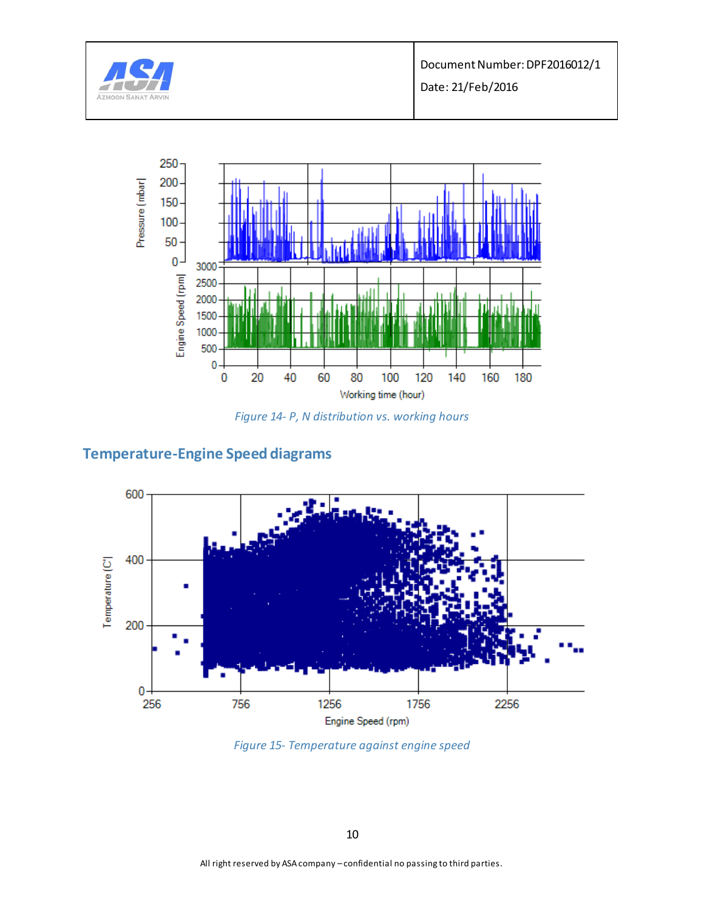

Document Number: DPF2016012/1

Date: 21/Feb/2016



*Figure 14- P, N distribution vs. working hours*

## **Temperature-Engine Speed diagrams**



*Figure 15- Temperature against engine speed*